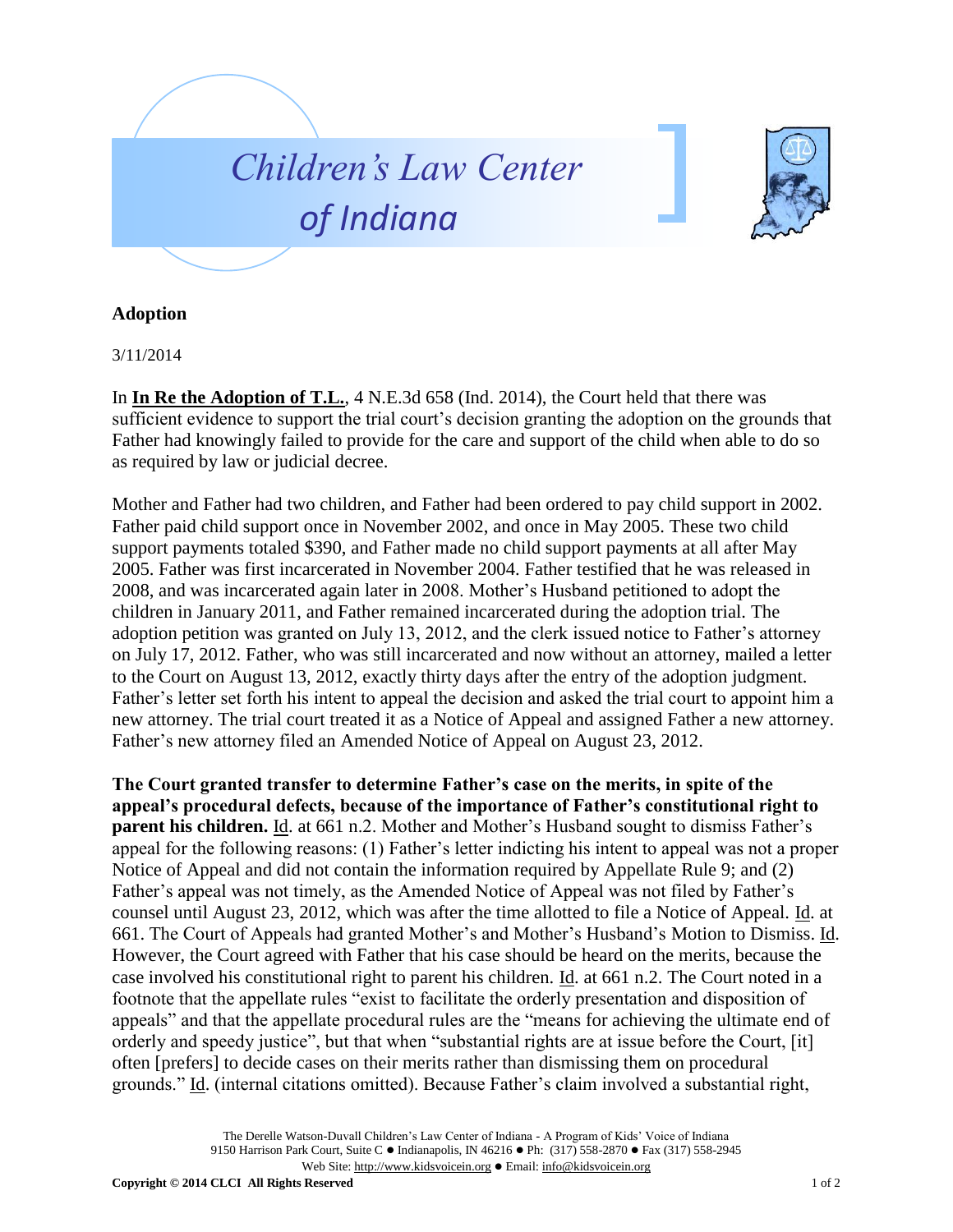



## **Adoption**

3/11/2014

In **In Re the Adoption of T.L.**, 4 N.E.3d 658 (Ind. 2014), the Court held that there was sufficient evidence to support the trial court's decision granting the adoption on the grounds that Father had knowingly failed to provide for the care and support of the child when able to do so as required by law or judicial decree.

Mother and Father had two children, and Father had been ordered to pay child support in 2002. Father paid child support once in November 2002, and once in May 2005. These two child support payments totaled \$390, and Father made no child support payments at all after May 2005. Father was first incarcerated in November 2004. Father testified that he was released in 2008, and was incarcerated again later in 2008. Mother's Husband petitioned to adopt the children in January 2011, and Father remained incarcerated during the adoption trial. The adoption petition was granted on July 13, 2012, and the clerk issued notice to Father's attorney on July 17, 2012. Father, who was still incarcerated and now without an attorney, mailed a letter to the Court on August 13, 2012, exactly thirty days after the entry of the adoption judgment. Father's letter set forth his intent to appeal the decision and asked the trial court to appoint him a new attorney. The trial court treated it as a Notice of Appeal and assigned Father a new attorney. Father's new attorney filed an Amended Notice of Appeal on August 23, 2012.

**The Court granted transfer to determine Father's case on the merits, in spite of the appeal's procedural defects, because of the importance of Father's constitutional right to parent his children.** Id. at 661 n.2. Mother and Mother's Husband sought to dismiss Father's appeal for the following reasons: (1) Father's letter indicting his intent to appeal was not a proper Notice of Appeal and did not contain the information required by Appellate Rule 9; and (2) Father's appeal was not timely, as the Amended Notice of Appeal was not filed by Father's counsel until August 23, 2012, which was after the time allotted to file a Notice of Appeal. Id. at 661. The Court of Appeals had granted Mother's and Mother's Husband's Motion to Dismiss. Id. However, the Court agreed with Father that his case should be heard on the merits, because the case involved his constitutional right to parent his children. Id. at 661 n.2. The Court noted in a footnote that the appellate rules "exist to facilitate the orderly presentation and disposition of appeals" and that the appellate procedural rules are the "means for achieving the ultimate end of orderly and speedy justice", but that when "substantial rights are at issue before the Court, [it] often [prefers] to decide cases on their merits rather than dismissing them on procedural grounds." Id. (internal citations omitted). Because Father's claim involved a substantial right,

> The Derelle Watson-Duvall Children's Law Center of Indiana - A Program of Kids' Voice of Indiana 9150 Harrison Park Court, Suite C · Indianapolis, IN 46216 • Ph: (317) 558-2870 • Fax (317) 558-2945 Web Site: http://www.kidsvoicein.org • Email: info@kidsvoicein.org